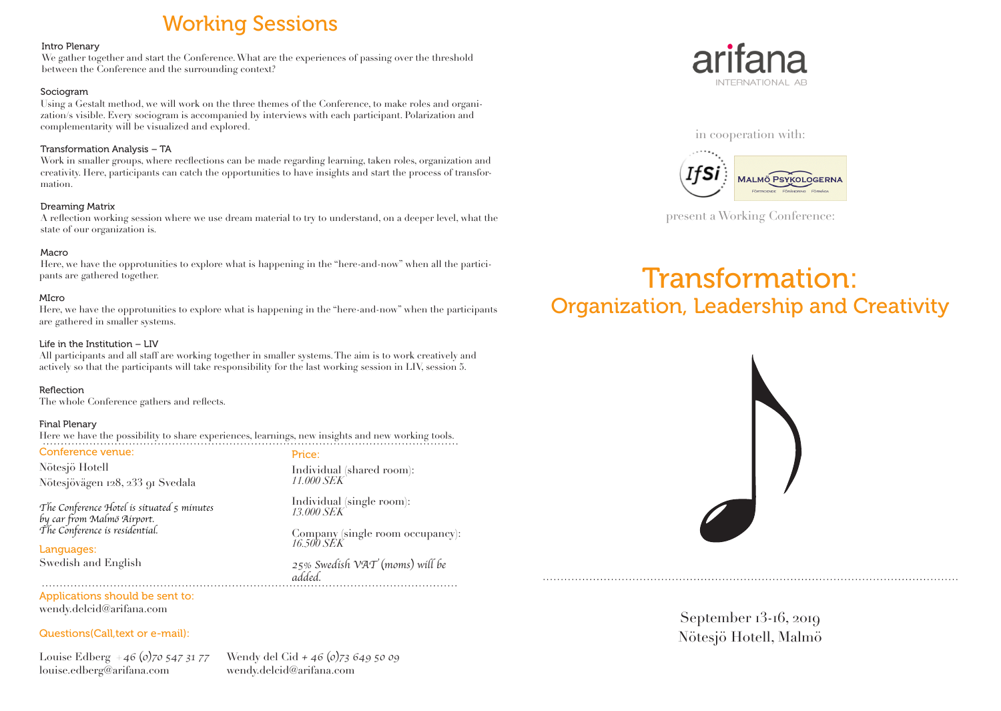# Working Sessions

#### Intro Plenary

We gather together and start the Conference. What are the experiences of passing over the threshold between the Conference and the surrounding context?

#### Sociogram

Using a Gestalt method, we will work on the three themes of the Conference, to make roles and organization/s visible. Every sociogram is accompanied by interviews with each participant. Polarization and complementarity will be visualized and explored.

# Transformation Analysis – TA

Work in smaller groups, where recflections can be made regarding learning, taken roles, organization and creativity. Here, participants can catch the opportunities to have insights and start the process of transformation.

## Dreaming Matrix

A reflection working session where we use dream material to try to understand, on a deeper level, what the state of our organization is.

## Macro

Here, we have the opprotunities to explore what is happening in the "here-and-now" when all the participants are gathered together.

## MIcro

Here, we have the opprotunities to explore what is happening in the "here-and-now" when the participants are gathered in smaller systems.

#### Life in the Institution – LIV

All participants and all staff are working together in smaller systems. The aim is to work creatively and actively so that the participants will take responsibility for the last working session in LIV, session 5.

## Reflection

The whole Conference gathers and reflects.

## Final Plenary

Here we have the possibility to share experiences, learnings, new insights and new working tools. Conference venue:

Nötesjö Hotell Nötesjövägen 128, 233 91 Svedala

*The Conference Hotel is situated 5 minutes by car from Malmö Airport. The Conference is residential.*

Languages: Swedish and English Price:

Individual (shared room): *11.000 SEK*

Individual (single room): *13.000 SEK*

Company (single room occupancy): *16.500 SEK*

*25% Swedish VAT (moms) will be added.*

# Applications should be sent to: wendy.delcid@arifana.com

## Questions(Call,text or e-mail):

Louise Edberg *+46 (0)70 547 31 77*  louise.edberg@arifana.com

Wendy del Cid *+ 46 (0)73 649 50 09* wendy.delcid@arifana.com





present a Working Conference:

# Transformation: Organization, Leadership and Creativity



September 13-16, 2019 Nötesjö Hotell, Malmö